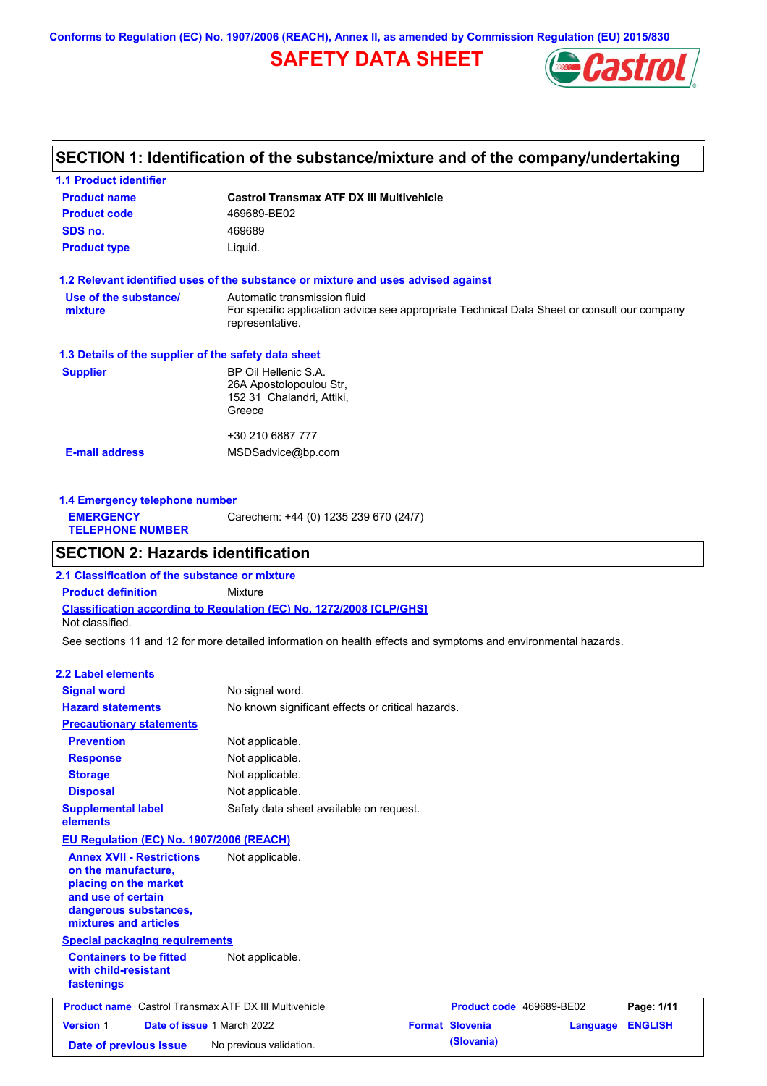**Conforms to Regulation (EC) No. 1907/2006 (REACH), Annex II, as amended by Commission Regulation (EU) 2015/830**

## **SAFETY DATA SHEET**



## **SECTION 1: Identification of the substance/mixture and of the company/undertaking**

| <b>1.1 Product identifier</b>                        |                                                                                                                                                |
|------------------------------------------------------|------------------------------------------------------------------------------------------------------------------------------------------------|
| <b>Product name</b>                                  | <b>Castrol Transmax ATF DX III Multivehicle</b>                                                                                                |
| <b>Product code</b>                                  | 469689-BE02                                                                                                                                    |
| SDS no.                                              | 469689                                                                                                                                         |
| <b>Product type</b>                                  | Liquid.                                                                                                                                        |
|                                                      | 1.2 Relevant identified uses of the substance or mixture and uses advised against                                                              |
| Use of the substance/<br>mixture                     | Automatic transmission fluid<br>For specific application advice see appropriate Technical Data Sheet or consult our company<br>representative. |
| 1.3 Details of the supplier of the safety data sheet |                                                                                                                                                |
| <b>Supplier</b>                                      | BP Oil Hellenic S.A.<br>26A Apostolopoulou Str.<br>152 31 Chalandri, Attiki,<br>Greece                                                         |
|                                                      | +30 210 6887 777                                                                                                                               |
| <b>E-mail address</b>                                | MSDSadvice@bp.com                                                                                                                              |
|                                                      |                                                                                                                                                |

| Carechem: +44 (0) 1235 239 670 (24/7)<br><b>EMERGENCY</b><br><b>TELEPHONE NUMBER</b> | 1.4 Emergency telephone number |  |  |  |  |  |  |
|--------------------------------------------------------------------------------------|--------------------------------|--|--|--|--|--|--|
|                                                                                      |                                |  |  |  |  |  |  |

### **SECTION 2: Hazards identification**

**Classification according to Regulation (EC) No. 1272/2008 [CLP/GHS] 2.1 Classification of the substance or mixture Product definition** Mixture Not classified.

See sections 11 and 12 for more detailed information on health effects and symptoms and environmental hazards.

### **2.2 Label elements**

| <b>Signal word</b>                                                                                                                                       | No signal word.                                   |                          |          |                |
|----------------------------------------------------------------------------------------------------------------------------------------------------------|---------------------------------------------------|--------------------------|----------|----------------|
| <b>Hazard statements</b>                                                                                                                                 | No known significant effects or critical hazards. |                          |          |                |
| <b>Precautionary statements</b>                                                                                                                          |                                                   |                          |          |                |
| <b>Prevention</b>                                                                                                                                        | Not applicable.                                   |                          |          |                |
| <b>Response</b>                                                                                                                                          | Not applicable.                                   |                          |          |                |
| <b>Storage</b>                                                                                                                                           | Not applicable.                                   |                          |          |                |
| <b>Disposal</b>                                                                                                                                          | Not applicable.                                   |                          |          |                |
| <b>Supplemental label</b><br>elements                                                                                                                    | Safety data sheet available on request.           |                          |          |                |
| EU Regulation (EC) No. 1907/2006 (REACH)                                                                                                                 |                                                   |                          |          |                |
| <b>Annex XVII - Restrictions</b><br>on the manufacture,<br>placing on the market<br>and use of certain<br>dangerous substances,<br>mixtures and articles | Not applicable.                                   |                          |          |                |
| <b>Special packaging requirements</b>                                                                                                                    |                                                   |                          |          |                |
| <b>Containers to be fitted</b><br>with child-resistant<br>fastenings                                                                                     | Not applicable.                                   |                          |          |                |
| <b>Product name</b> Castrol Transmax ATF DX III Multivehicle                                                                                             |                                                   | Product code 469689-BE02 |          | Page: 1/11     |
| <b>Version 1</b>                                                                                                                                         | Date of issue 1 March 2022                        | <b>Format Slovenia</b>   | Language | <b>ENGLISH</b> |
| Date of previous issue                                                                                                                                   | No previous validation.                           | (Slovania)               |          |                |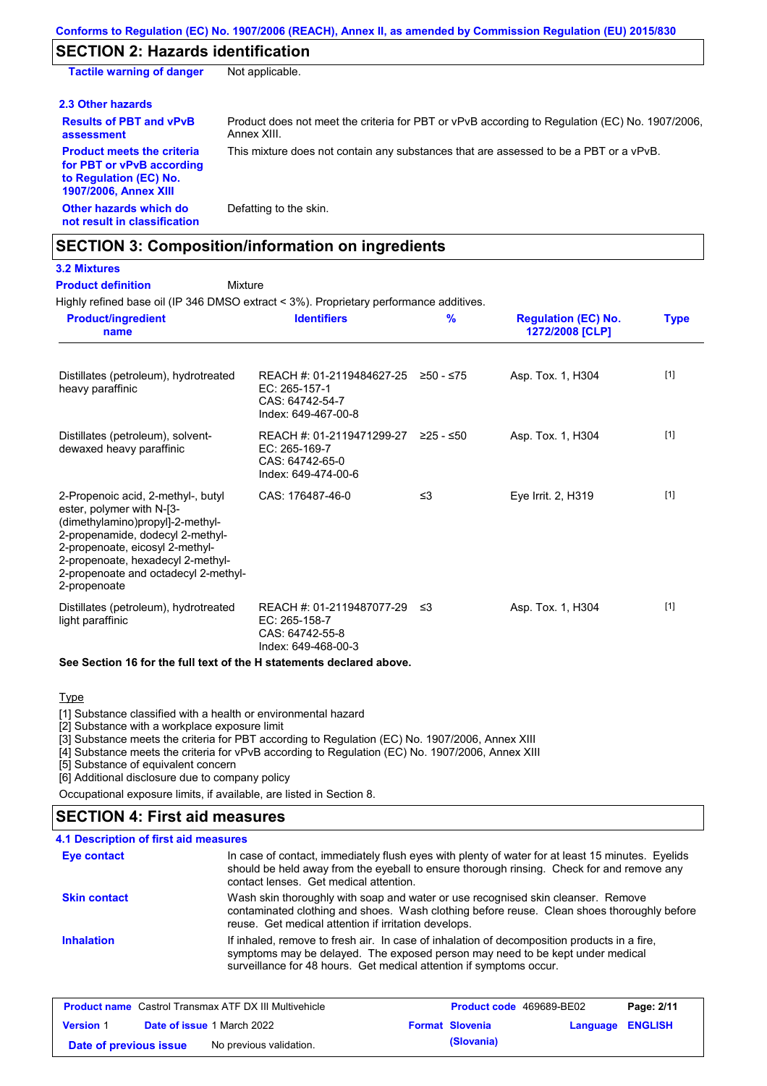### **SECTION 2: Hazards identification**

**Other hazards which do not result in classification** Defatting to the skin. **Tactile warning of danger** Not applicable. **2.3 Other hazards Results of PBT and vPvB assessment** Product does not meet the criteria for PBT or vPvB according to Regulation (EC) No. 1907/2006, Annex XIII. **Product meets the criteria for PBT or vPvB according to Regulation (EC) No. 1907/2006, Annex XIII** This mixture does not contain any substances that are assessed to be a PBT or a vPvB.

### **SECTION 3: Composition/information on ingredients**

**3.2 Mixtures**

**Product definition**

### Mixture

Highly refined base oil (IP 346 DMSO extract < 3%). Proprietary performance additives.

| <b>Product/ingredient</b><br>name                                                                                                                                                                                                                                       | <b>Identifiers</b>                                                                   | $\frac{9}{6}$ | <b>Regulation (EC) No.</b><br>1272/2008 [CLP] | <b>Type</b> |
|-------------------------------------------------------------------------------------------------------------------------------------------------------------------------------------------------------------------------------------------------------------------------|--------------------------------------------------------------------------------------|---------------|-----------------------------------------------|-------------|
| Distillates (petroleum), hydrotreated<br>heavy paraffinic                                                                                                                                                                                                               | REACH #: 01-2119484627-25<br>EC: 265-157-1<br>CAS: 64742-54-7<br>Index: 649-467-00-8 | ≥50 - ≤75     | Asp. Tox. 1, H304                             | $[1]$       |
| Distillates (petroleum), solvent-<br>dewaxed heavy paraffinic                                                                                                                                                                                                           | REACH #: 01-2119471299-27<br>EC: 265-169-7<br>CAS: 64742-65-0<br>Index: 649-474-00-6 | ≥25 - ≤50     | Asp. Tox. 1, H304                             | $[1]$       |
| 2-Propenoic acid, 2-methyl-, butyl<br>ester, polymer with N-[3-<br>(dimethylamino)propyl]-2-methyl-<br>2-propenamide, dodecyl 2-methyl-<br>2-propenoate, eicosyl 2-methyl-<br>2-propenoate, hexadecyl 2-methyl-<br>2-propenoate and octadecyl 2-methyl-<br>2-propenoate | CAS: 176487-46-0                                                                     | $\leq$ 3      | Eye Irrit. 2, H319                            | $[1]$       |
| Distillates (petroleum), hydrotreated<br>light paraffinic                                                                                                                                                                                                               | REACH #: 01-2119487077-29<br>EC: 265-158-7<br>CAS: 64742-55-8<br>Index: 649-468-00-3 | -≤3           | Asp. Tox. 1, H304                             | $[1]$       |

#### **See Section 16 for the full text of the H statements declared above.**

**Type** 

[1] Substance classified with a health or environmental hazard

[2] Substance with a workplace exposure limit

[3] Substance meets the criteria for PBT according to Regulation (EC) No. 1907/2006, Annex XIII

[4] Substance meets the criteria for vPvB according to Regulation (EC) No. 1907/2006, Annex XIII

[5] Substance of equivalent concern

[6] Additional disclosure due to company policy

Occupational exposure limits, if available, are listed in Section 8.

### **4.1 Description of first aid measures SECTION 4: First aid measures**

| 4. I Description of hist ald measures |                                                                                                                                                                                                                                                     |
|---------------------------------------|-----------------------------------------------------------------------------------------------------------------------------------------------------------------------------------------------------------------------------------------------------|
| <b>Eye contact</b>                    | In case of contact, immediately flush eyes with plenty of water for at least 15 minutes. Eyelids<br>should be held away from the eyeball to ensure thorough rinsing. Check for and remove any<br>contact lenses. Get medical attention.             |
| <b>Skin contact</b>                   | Wash skin thoroughly with soap and water or use recognised skin cleanser. Remove<br>contaminated clothing and shoes. Wash clothing before reuse. Clean shoes thoroughly before<br>reuse. Get medical attention if irritation develops.              |
| <b>Inhalation</b>                     | If inhaled, remove to fresh air. In case of inhalation of decomposition products in a fire,<br>symptoms may be delayed. The exposed person may need to be kept under medical<br>surveillance for 48 hours. Get medical attention if symptoms occur. |

| <b>Product name</b> Castrol Transmax ATF DX III Multivehicle |  |                                   | <b>Product code</b> 469689-BE02 | Page: 2/11             |                         |  |
|--------------------------------------------------------------|--|-----------------------------------|---------------------------------|------------------------|-------------------------|--|
| <b>Version 1</b>                                             |  | <b>Date of issue 1 March 2022</b> |                                 | <b>Format Slovenia</b> | <b>Language ENGLISH</b> |  |
| Date of previous issue                                       |  | No previous validation.           |                                 | (Slovania)             |                         |  |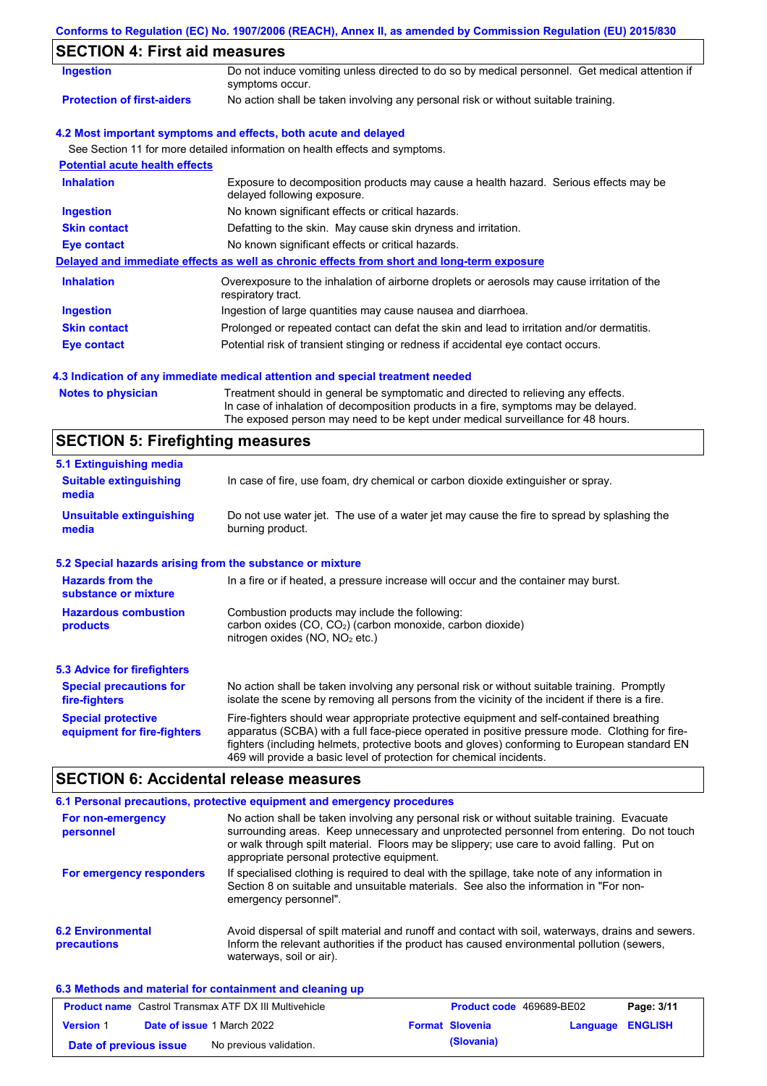|  |  | Conforms to Regulation (EC) No. 1907/2006 (REACH), Annex II, as amended by Commission Regulation (EU) 2015/830 |  |
|--|--|----------------------------------------------------------------------------------------------------------------|--|
|  |  |                                                                                                                |  |

## **SECTION 4: First aid measures**

| <b>Ingestion</b>                      | Do not induce vomiting unless directed to do so by medical personnel. Get medical attention if<br>symptoms occur.   |
|---------------------------------------|---------------------------------------------------------------------------------------------------------------------|
| <b>Protection of first-aiders</b>     | No action shall be taken involving any personal risk or without suitable training.                                  |
|                                       | 4.2 Most important symptoms and effects, both acute and delayed                                                     |
|                                       | See Section 11 for more detailed information on health effects and symptoms.                                        |
| <b>Potential acute health effects</b> |                                                                                                                     |
| <b>Inhalation</b>                     | Exposure to decomposition products may cause a health hazard. Serious effects may be<br>delayed following exposure. |
| <b>Ingestion</b>                      | No known significant effects or critical hazards.                                                                   |
| <b>Skin contact</b>                   | Defatting to the skin. May cause skin dryness and irritation.                                                       |
| Eye contact                           | No known significant effects or critical hazards.                                                                   |
|                                       | Delayed and immediate effects as well as chronic effects from short and long-term exposure                          |
| <b>Inhalation</b>                     | Overexposure to the inhalation of airborne droplets or aerosols may cause irritation of the<br>respiratory tract.   |
| <b>Ingestion</b>                      | Ingestion of large quantities may cause nausea and diarrhoea.                                                       |
| <b>Skin contact</b>                   | Prolonged or repeated contact can defat the skin and lead to irritation and/or dermatitis.                          |
| Eye contact                           | Potential risk of transient stinging or redness if accidental eye contact occurs.                                   |
|                                       |                                                                                                                     |

### **4.3 Indication of any immediate medical attention and special treatment needed**

| <b>Notes to physician</b> | Treatment should in general be symptomatic and directed to relieving any effects.   |
|---------------------------|-------------------------------------------------------------------------------------|
|                           | In case of inhalation of decomposition products in a fire, symptoms may be delayed. |
|                           | The exposed person may need to be kept under medical surveillance for 48 hours.     |

# **SECTION 5: Firefighting measures**

| 5.1 Extinguishing media                                   |                                                                                                                                                                                                                                                                                                                                                                   |
|-----------------------------------------------------------|-------------------------------------------------------------------------------------------------------------------------------------------------------------------------------------------------------------------------------------------------------------------------------------------------------------------------------------------------------------------|
| <b>Suitable extinguishing</b><br>media                    | In case of fire, use foam, dry chemical or carbon dioxide extinguisher or spray.                                                                                                                                                                                                                                                                                  |
| <b>Unsuitable extinguishing</b><br>media                  | Do not use water jet. The use of a water jet may cause the fire to spread by splashing the<br>burning product.                                                                                                                                                                                                                                                    |
| 5.2 Special hazards arising from the substance or mixture |                                                                                                                                                                                                                                                                                                                                                                   |
| <b>Hazards from the</b><br>substance or mixture           | In a fire or if heated, a pressure increase will occur and the container may burst.                                                                                                                                                                                                                                                                               |
| <b>Hazardous combustion</b><br>products                   | Combustion products may include the following:<br>carbon oxides $(CO, CO2)$ (carbon monoxide, carbon dioxide)<br>nitrogen oxides ( $NO$ , $NO2$ etc.)                                                                                                                                                                                                             |
| <b>5.3 Advice for firefighters</b>                        |                                                                                                                                                                                                                                                                                                                                                                   |
| <b>Special precautions for</b><br>fire-fighters           | No action shall be taken involving any personal risk or without suitable training. Promptly<br>isolate the scene by removing all persons from the vicinity of the incident if there is a fire.                                                                                                                                                                    |
| <b>Special protective</b><br>equipment for fire-fighters  | Fire-fighters should wear appropriate protective equipment and self-contained breathing<br>apparatus (SCBA) with a full face-piece operated in positive pressure mode. Clothing for fire-<br>fighters (including helmets, protective boots and gloves) conforming to European standard EN<br>469 will provide a basic level of protection for chemical incidents. |

# **SECTION 6: Accidental release measures**

|                                                | 6.1 Personal precautions, protective equipment and emergency procedures                                                                                                                                                                                                                                                             |
|------------------------------------------------|-------------------------------------------------------------------------------------------------------------------------------------------------------------------------------------------------------------------------------------------------------------------------------------------------------------------------------------|
| For non-emergency<br>personnel                 | No action shall be taken involving any personal risk or without suitable training. Evacuate<br>surrounding areas. Keep unnecessary and unprotected personnel from entering. Do not touch<br>or walk through spilt material. Floors may be slippery; use care to avoid falling. Put on<br>appropriate personal protective equipment. |
| For emergency responders                       | If specialised clothing is required to deal with the spillage, take note of any information in<br>Section 8 on suitable and unsuitable materials. See also the information in "For non-<br>emergency personnel".                                                                                                                    |
| <b>6.2 Environmental</b><br><b>precautions</b> | Avoid dispersal of spilt material and runoff and contact with soil, waterways, drains and sewers.<br>Inform the relevant authorities if the product has caused environmental pollution (sewers,<br>waterways, soil or air).                                                                                                         |

### **6.3 Methods and material for containment and cleaning up**

| <b>Product name</b> Castrol Transmax ATF DX III Multivehicle |  |                                   | <b>Product code</b> 469689-BE02 | Page: 3/11             |                         |  |
|--------------------------------------------------------------|--|-----------------------------------|---------------------------------|------------------------|-------------------------|--|
| <b>Version 1</b>                                             |  | <b>Date of issue 1 March 2022</b> |                                 | <b>Format Slovenia</b> | <b>Language ENGLISH</b> |  |
| Date of previous issue                                       |  | No previous validation.           |                                 | (Slovania)             |                         |  |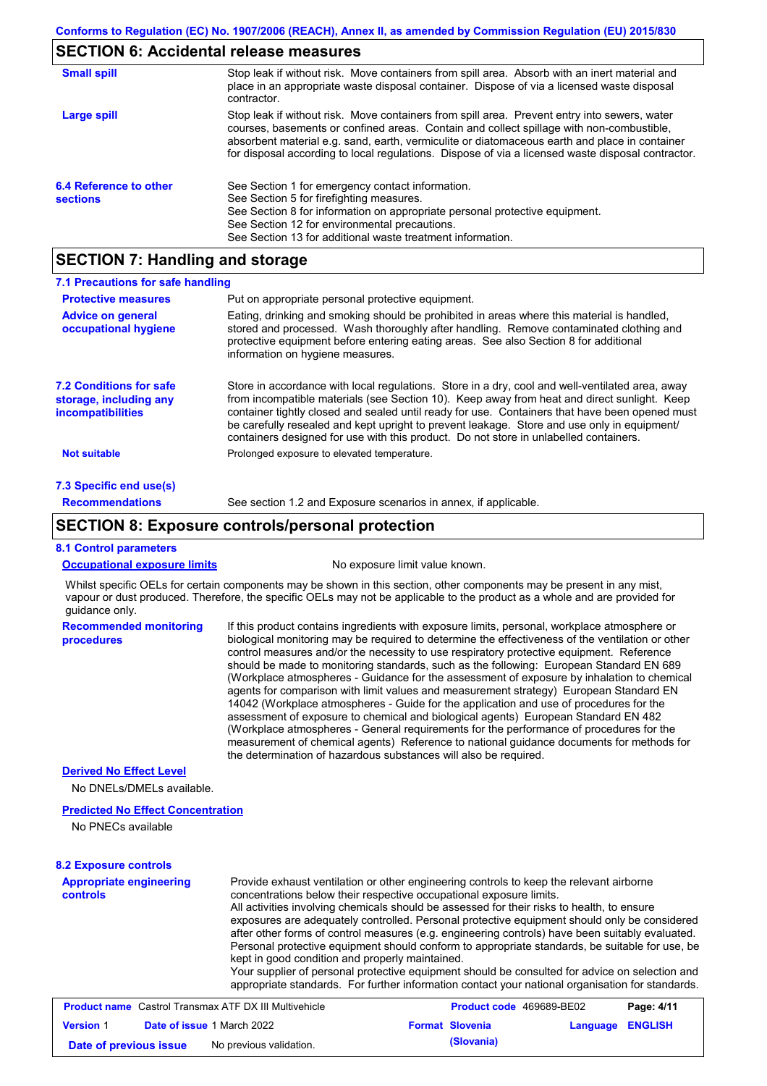# **SECTION 6: Accidental release measures**

| <b>Small spill</b>                        | Stop leak if without risk. Move containers from spill area. Absorb with an inert material and<br>place in an appropriate waste disposal container. Dispose of via a licensed waste disposal<br>contractor.                                                                                                                                                                                     |
|-------------------------------------------|------------------------------------------------------------------------------------------------------------------------------------------------------------------------------------------------------------------------------------------------------------------------------------------------------------------------------------------------------------------------------------------------|
| Large spill                               | Stop leak if without risk. Move containers from spill area. Prevent entry into sewers, water<br>courses, basements or confined areas. Contain and collect spillage with non-combustible,<br>absorbent material e.g. sand, earth, vermiculite or diatomaceous earth and place in container<br>for disposal according to local regulations. Dispose of via a licensed waste disposal contractor. |
| 6.4 Reference to other<br><b>sections</b> | See Section 1 for emergency contact information.<br>See Section 5 for firefighting measures.<br>See Section 8 for information on appropriate personal protective equipment.<br>See Section 12 for environmental precautions.<br>See Section 13 for additional waste treatment information.                                                                                                     |

## **SECTION 7: Handling and storage**

| 7.1 Precautions for safe handling                                             |                                                                                                                                                                                                                                                                                                                                                                                                                                                                                                                                                                                                                                                                                                                                                                                                                                                                                                                                                                                                                            |
|-------------------------------------------------------------------------------|----------------------------------------------------------------------------------------------------------------------------------------------------------------------------------------------------------------------------------------------------------------------------------------------------------------------------------------------------------------------------------------------------------------------------------------------------------------------------------------------------------------------------------------------------------------------------------------------------------------------------------------------------------------------------------------------------------------------------------------------------------------------------------------------------------------------------------------------------------------------------------------------------------------------------------------------------------------------------------------------------------------------------|
| <b>Protective measures</b>                                                    | Put on appropriate personal protective equipment.                                                                                                                                                                                                                                                                                                                                                                                                                                                                                                                                                                                                                                                                                                                                                                                                                                                                                                                                                                          |
| <b>Advice on general</b><br>occupational hygiene                              | Eating, drinking and smoking should be prohibited in areas where this material is handled,<br>stored and processed. Wash thoroughly after handling. Remove contaminated clothing and<br>protective equipment before entering eating areas. See also Section 8 for additional<br>information on hygiene measures.                                                                                                                                                                                                                                                                                                                                                                                                                                                                                                                                                                                                                                                                                                           |
| <b>7.2 Conditions for safe</b><br>storage, including any<br>incompatibilities | Store in accordance with local regulations. Store in a dry, cool and well-ventilated area, away<br>from incompatible materials (see Section 10). Keep away from heat and direct sunlight. Keep<br>container tightly closed and sealed until ready for use. Containers that have been opened must<br>be carefully resealed and kept upright to prevent leakage. Store and use only in equipment/<br>containers designed for use with this product. Do not store in unlabelled containers.                                                                                                                                                                                                                                                                                                                                                                                                                                                                                                                                   |
| <b>Not suitable</b>                                                           | Prolonged exposure to elevated temperature.                                                                                                                                                                                                                                                                                                                                                                                                                                                                                                                                                                                                                                                                                                                                                                                                                                                                                                                                                                                |
| 7.3 Specific end use(s)                                                       |                                                                                                                                                                                                                                                                                                                                                                                                                                                                                                                                                                                                                                                                                                                                                                                                                                                                                                                                                                                                                            |
| <b>Recommendations</b>                                                        | See section 1.2 and Exposure scenarios in annex, if applicable.                                                                                                                                                                                                                                                                                                                                                                                                                                                                                                                                                                                                                                                                                                                                                                                                                                                                                                                                                            |
|                                                                               | <b>SECTION 8: Exposure controls/personal protection</b>                                                                                                                                                                                                                                                                                                                                                                                                                                                                                                                                                                                                                                                                                                                                                                                                                                                                                                                                                                    |
| <b>8.1 Control parameters</b>                                                 |                                                                                                                                                                                                                                                                                                                                                                                                                                                                                                                                                                                                                                                                                                                                                                                                                                                                                                                                                                                                                            |
| <b>Occupational exposure limits</b>                                           | No exposure limit value known.                                                                                                                                                                                                                                                                                                                                                                                                                                                                                                                                                                                                                                                                                                                                                                                                                                                                                                                                                                                             |
| guidance only.                                                                | Whilst specific OELs for certain components may be shown in this section, other components may be present in any mist,<br>vapour or dust produced. Therefore, the specific OELs may not be applicable to the product as a whole and are provided for                                                                                                                                                                                                                                                                                                                                                                                                                                                                                                                                                                                                                                                                                                                                                                       |
| <b>Recommended monitoring</b><br>procedures                                   | If this product contains ingredients with exposure limits, personal, workplace atmosphere or<br>biological monitoring may be required to determine the effectiveness of the ventilation or other<br>control measures and/or the necessity to use respiratory protective equipment. Reference<br>should be made to monitoring standards, such as the following: European Standard EN 689<br>(Workplace atmospheres - Guidance for the assessment of exposure by inhalation to chemical<br>agents for comparison with limit values and measurement strategy) European Standard EN<br>14042 (Workplace atmospheres - Guide for the application and use of procedures for the<br>assessment of exposure to chemical and biological agents) European Standard EN 482<br>(Workplace atmospheres - General requirements for the performance of procedures for the<br>measurement of chemical agents) Reference to national guidance documents for methods for<br>the determination of hazardous substances will also be required. |
| <b>Derived No Effect Level</b><br>No DNELs/DMELs available.                   |                                                                                                                                                                                                                                                                                                                                                                                                                                                                                                                                                                                                                                                                                                                                                                                                                                                                                                                                                                                                                            |
|                                                                               |                                                                                                                                                                                                                                                                                                                                                                                                                                                                                                                                                                                                                                                                                                                                                                                                                                                                                                                                                                                                                            |
| <b>Predicted No Effect Concentration</b><br>No PNECs available                |                                                                                                                                                                                                                                                                                                                                                                                                                                                                                                                                                                                                                                                                                                                                                                                                                                                                                                                                                                                                                            |
| <b>8.2 Exposure controls</b>                                                  |                                                                                                                                                                                                                                                                                                                                                                                                                                                                                                                                                                                                                                                                                                                                                                                                                                                                                                                                                                                                                            |
| <b>Appropriate engineering</b><br><b>controls</b>                             | Provide exhaust ventilation or other engineering controls to keep the relevant airborne<br>concentrations below their respective occupational exposure limits.<br>All activities involving chemicals should be assessed for their risks to health, to ensure<br>exposures are adequately controlled. Personal protective equipment should only be considered<br>after other forms of control measures (e.g. engineering controls) have been suitably evaluated.<br>Personal protective equipment should conform to appropriate standards, be suitable for use, be<br>kept in good condition and properly maintained.<br>Your supplier of personal protective equipment should be consulted for advice on selection and<br>appropriate standards. For further information contact your national organisation for standards.                                                                                                                                                                                                 |
| <b>Product name</b> Castrol Transmax ATF DX III Multivehicle                  | Product code 469689-BE02<br>Page: $4/11$                                                                                                                                                                                                                                                                                                                                                                                                                                                                                                                                                                                                                                                                                                                                                                                                                                                                                                                                                                                   |

|                        | <b>Product name</b> Castrol Transmax ATF DX III Multivehicle | <b>Product code</b> 469689-BE02 |                  | Page: 4/11 |
|------------------------|--------------------------------------------------------------|---------------------------------|------------------|------------|
| <b>Version 1</b>       | <b>Date of issue 1 March 2022</b>                            | <b>Format Slovenia</b>          | Language ENGLISH |            |
| Date of previous issue | No previous validation.                                      | (Slovania)                      |                  |            |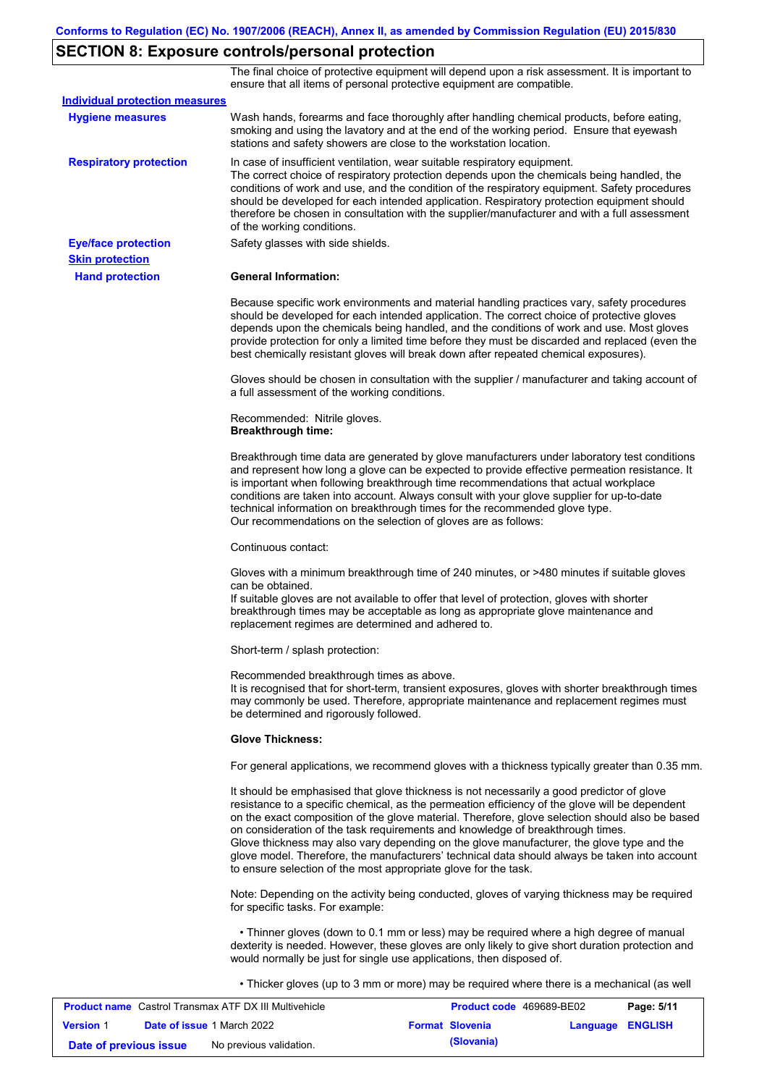# **SECTION 8: Exposure controls/personal protection**

The final choice of protective equipment will depend upon a risk assessment. It is important to ensure that all items of personal protective equipment are compatible.

| <b>Individual protection measures</b> |                                                                                                                                                                                                                                                                                                                                                                                                                                                                                                                                                                                                                                                   |
|---------------------------------------|---------------------------------------------------------------------------------------------------------------------------------------------------------------------------------------------------------------------------------------------------------------------------------------------------------------------------------------------------------------------------------------------------------------------------------------------------------------------------------------------------------------------------------------------------------------------------------------------------------------------------------------------------|
| <b>Hygiene measures</b>               | Wash hands, forearms and face thoroughly after handling chemical products, before eating,<br>smoking and using the lavatory and at the end of the working period. Ensure that eyewash<br>stations and safety showers are close to the workstation location.                                                                                                                                                                                                                                                                                                                                                                                       |
| <b>Respiratory protection</b>         | In case of insufficient ventilation, wear suitable respiratory equipment.<br>The correct choice of respiratory protection depends upon the chemicals being handled, the<br>conditions of work and use, and the condition of the respiratory equipment. Safety procedures<br>should be developed for each intended application. Respiratory protection equipment should<br>therefore be chosen in consultation with the supplier/manufacturer and with a full assessment<br>of the working conditions.                                                                                                                                             |
| <b>Eye/face protection</b>            | Safety glasses with side shields.                                                                                                                                                                                                                                                                                                                                                                                                                                                                                                                                                                                                                 |
| <b>Skin protection</b>                |                                                                                                                                                                                                                                                                                                                                                                                                                                                                                                                                                                                                                                                   |
| <b>Hand protection</b>                | <b>General Information:</b>                                                                                                                                                                                                                                                                                                                                                                                                                                                                                                                                                                                                                       |
|                                       | Because specific work environments and material handling practices vary, safety procedures<br>should be developed for each intended application. The correct choice of protective gloves<br>depends upon the chemicals being handled, and the conditions of work and use. Most gloves<br>provide protection for only a limited time before they must be discarded and replaced (even the<br>best chemically resistant gloves will break down after repeated chemical exposures).                                                                                                                                                                  |
|                                       | Gloves should be chosen in consultation with the supplier / manufacturer and taking account of<br>a full assessment of the working conditions.                                                                                                                                                                                                                                                                                                                                                                                                                                                                                                    |
|                                       | Recommended: Nitrile gloves.<br><b>Breakthrough time:</b>                                                                                                                                                                                                                                                                                                                                                                                                                                                                                                                                                                                         |
|                                       | Breakthrough time data are generated by glove manufacturers under laboratory test conditions<br>and represent how long a glove can be expected to provide effective permeation resistance. It<br>is important when following breakthrough time recommendations that actual workplace<br>conditions are taken into account. Always consult with your glove supplier for up-to-date<br>technical information on breakthrough times for the recommended glove type.<br>Our recommendations on the selection of gloves are as follows:                                                                                                                |
|                                       | Continuous contact:                                                                                                                                                                                                                                                                                                                                                                                                                                                                                                                                                                                                                               |
|                                       | Gloves with a minimum breakthrough time of 240 minutes, or >480 minutes if suitable gloves<br>can be obtained.<br>If suitable gloves are not available to offer that level of protection, gloves with shorter<br>breakthrough times may be acceptable as long as appropriate glove maintenance and<br>replacement regimes are determined and adhered to.                                                                                                                                                                                                                                                                                          |
|                                       | Short-term / splash protection:                                                                                                                                                                                                                                                                                                                                                                                                                                                                                                                                                                                                                   |
|                                       | Recommended breakthrough times as above.<br>It is recognised that for short-term, transient exposures, gloves with shorter breakthrough times<br>may commonly be used. Therefore, appropriate maintenance and replacement regimes must<br>be determined and rigorously followed.                                                                                                                                                                                                                                                                                                                                                                  |
|                                       | <b>Glove Thickness:</b>                                                                                                                                                                                                                                                                                                                                                                                                                                                                                                                                                                                                                           |
|                                       | For general applications, we recommend gloves with a thickness typically greater than 0.35 mm.                                                                                                                                                                                                                                                                                                                                                                                                                                                                                                                                                    |
|                                       | It should be emphasised that glove thickness is not necessarily a good predictor of glove<br>resistance to a specific chemical, as the permeation efficiency of the glove will be dependent<br>on the exact composition of the glove material. Therefore, glove selection should also be based<br>on consideration of the task requirements and knowledge of breakthrough times.<br>Glove thickness may also vary depending on the glove manufacturer, the glove type and the<br>glove model. Therefore, the manufacturers' technical data should always be taken into account<br>to ensure selection of the most appropriate glove for the task. |
|                                       | Note: Depending on the activity being conducted, gloves of varying thickness may be required<br>for specific tasks. For example:                                                                                                                                                                                                                                                                                                                                                                                                                                                                                                                  |
|                                       | • Thinner gloves (down to 0.1 mm or less) may be required where a high degree of manual<br>dexterity is needed. However, these gloves are only likely to give short duration protection and<br>would normally be just for single use applications, then disposed of.                                                                                                                                                                                                                                                                                                                                                                              |
|                                       | • Thicker gloves (up to 3 mm or more) may be required where there is a mechanical (as well                                                                                                                                                                                                                                                                                                                                                                                                                                                                                                                                                        |

|                        | <b>Product name</b> Castrol Transmax ATF DX III Multivehicle | <b>Product code</b> 469689-BE02 |                  | Page: 5/11 |
|------------------------|--------------------------------------------------------------|---------------------------------|------------------|------------|
| <b>Version 1</b>       | <b>Date of issue 1 March 2022</b>                            | <b>Format Slovenia</b>          | Language ENGLISH |            |
| Date of previous issue | No previous validation.                                      | (Slovania)                      |                  |            |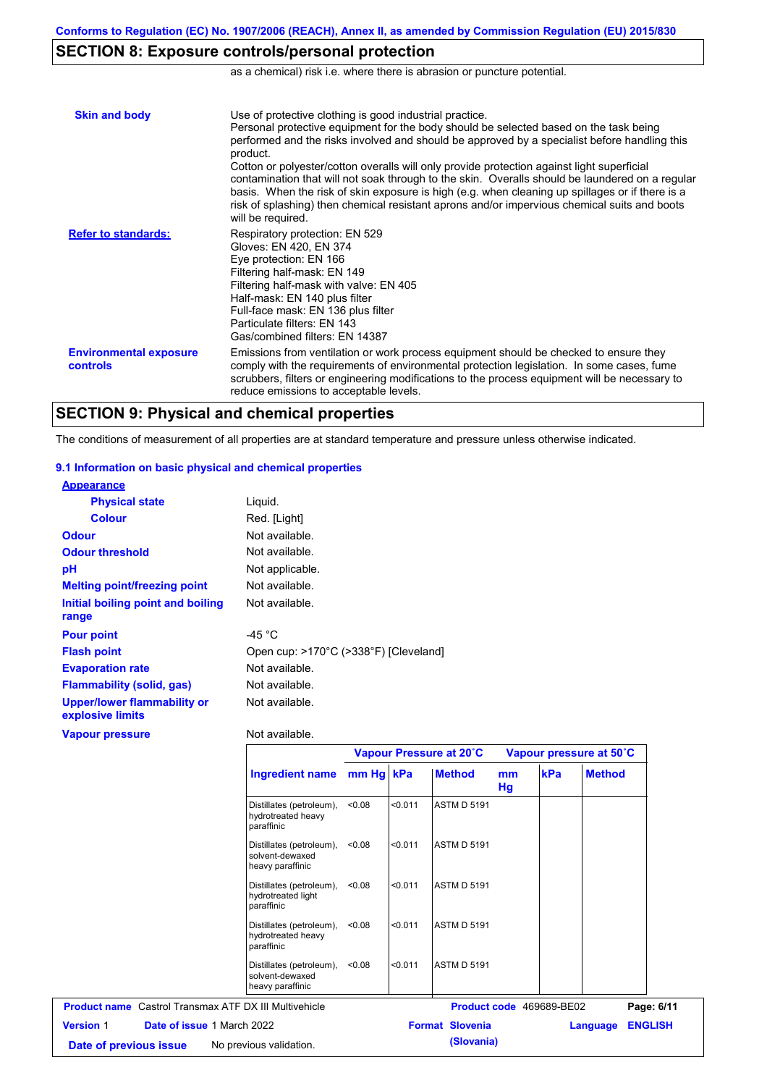## **SECTION 8: Exposure controls/personal protection**

as a chemical) risk i.e. where there is abrasion or puncture potential.

| <b>Skin and body</b>                             | Use of protective clothing is good industrial practice.<br>Personal protective equipment for the body should be selected based on the task being<br>performed and the risks involved and should be approved by a specialist before handling this<br>product.<br>Cotton or polyester/cotton overalls will only provide protection against light superficial<br>contamination that will not soak through to the skin. Overalls should be laundered on a regular<br>basis. When the risk of skin exposure is high (e.g. when cleaning up spillages or if there is a<br>risk of splashing) then chemical resistant aprons and/or impervious chemical suits and boots<br>will be required. |
|--------------------------------------------------|---------------------------------------------------------------------------------------------------------------------------------------------------------------------------------------------------------------------------------------------------------------------------------------------------------------------------------------------------------------------------------------------------------------------------------------------------------------------------------------------------------------------------------------------------------------------------------------------------------------------------------------------------------------------------------------|
| <b>Refer to standards:</b>                       | Respiratory protection: EN 529<br>Gloves: EN 420, EN 374<br>Eye protection: EN 166<br>Filtering half-mask: EN 149<br>Filtering half-mask with valve: EN 405<br>Half-mask: EN 140 plus filter<br>Full-face mask: EN 136 plus filter<br>Particulate filters: EN 143<br>Gas/combined filters: EN 14387                                                                                                                                                                                                                                                                                                                                                                                   |
| <b>Environmental exposure</b><br><b>controls</b> | Emissions from ventilation or work process equipment should be checked to ensure they<br>comply with the requirements of environmental protection legislation. In some cases, fume<br>scrubbers, filters or engineering modifications to the process equipment will be necessary to<br>reduce emissions to acceptable levels.                                                                                                                                                                                                                                                                                                                                                         |

### **SECTION 9: Physical and chemical properties**

The conditions of measurement of all properties are at standard temperature and pressure unless otherwise indicated.

### **9.1 Information on basic physical and chemical properties**

| <b>Appearance</b>                                      |                                       |
|--------------------------------------------------------|---------------------------------------|
| <b>Physical state</b>                                  | Liguid.                               |
| <b>Colour</b>                                          | Red. [Light]                          |
| <b>Odour</b>                                           | Not available.                        |
| <b>Odour threshold</b>                                 | Not available.                        |
| рH                                                     | Not applicable.                       |
| <b>Melting point/freezing point</b>                    | Not available.                        |
| Initial boiling point and boiling                      | Not available.                        |
| range                                                  |                                       |
| <b>Pour point</b>                                      | -45 $^{\circ}$ C                      |
| <b>Flash point</b>                                     | Open cup: >170°C (>338°F) [Cleveland] |
| <b>Evaporation rate</b>                                | Not available.                        |
| <b>Flammability (solid, gas)</b>                       | Not available.                        |
| <b>Upper/lower flammability or</b><br>explosive limits | Not available.                        |
| <b>Vapour pressure</b>                                 | Not available.                        |

|                                                              |                          |           | Vapour Pressure at 20°C |                        | Vapour pressure at 50°C |                          |               |                |  |
|--------------------------------------------------------------|--------------------------|-----------|-------------------------|------------------------|-------------------------|--------------------------|---------------|----------------|--|
|                                                              | <b>Ingredient name</b>   | mm Hg kPa |                         | <b>Method</b>          | mm<br>Hg                | kPa                      | <b>Method</b> |                |  |
| hydrotreated heavy<br>paraffinic                             | Distillates (petroleum), | < 0.08    | < 0.011                 | <b>ASTM D 5191</b>     |                         |                          |               |                |  |
| solvent-dewaxed<br>heavy paraffinic                          | Distillates (petroleum), | < 0.08    | < 0.011                 | <b>ASTM D 5191</b>     |                         |                          |               |                |  |
| hydrotreated light<br>paraffinic                             | Distillates (petroleum), | < 0.08    | < 0.011                 | <b>ASTM D 5191</b>     |                         |                          |               |                |  |
| hydrotreated heavy<br>paraffinic                             | Distillates (petroleum), | < 0.08    | < 0.011                 | <b>ASTM D 5191</b>     |                         |                          |               |                |  |
| solvent-dewaxed<br>heavy paraffinic                          | Distillates (petroleum), | < 0.08    | < 0.011                 | <b>ASTM D 5191</b>     |                         |                          |               |                |  |
| <b>Product name</b> Castrol Transmax ATF DX III Multivehicle |                          |           |                         |                        |                         | Product code 469689-BE02 |               | Page: 6/11     |  |
| Date of issue 1 March 2022<br><b>Version 1</b>               |                          |           |                         | <b>Format Slovenia</b> |                         |                          | Language      | <b>ENGLISH</b> |  |
| No previous validation.<br>Date of previous issue            |                          |           |                         | (Slovania)             |                         |                          |               |                |  |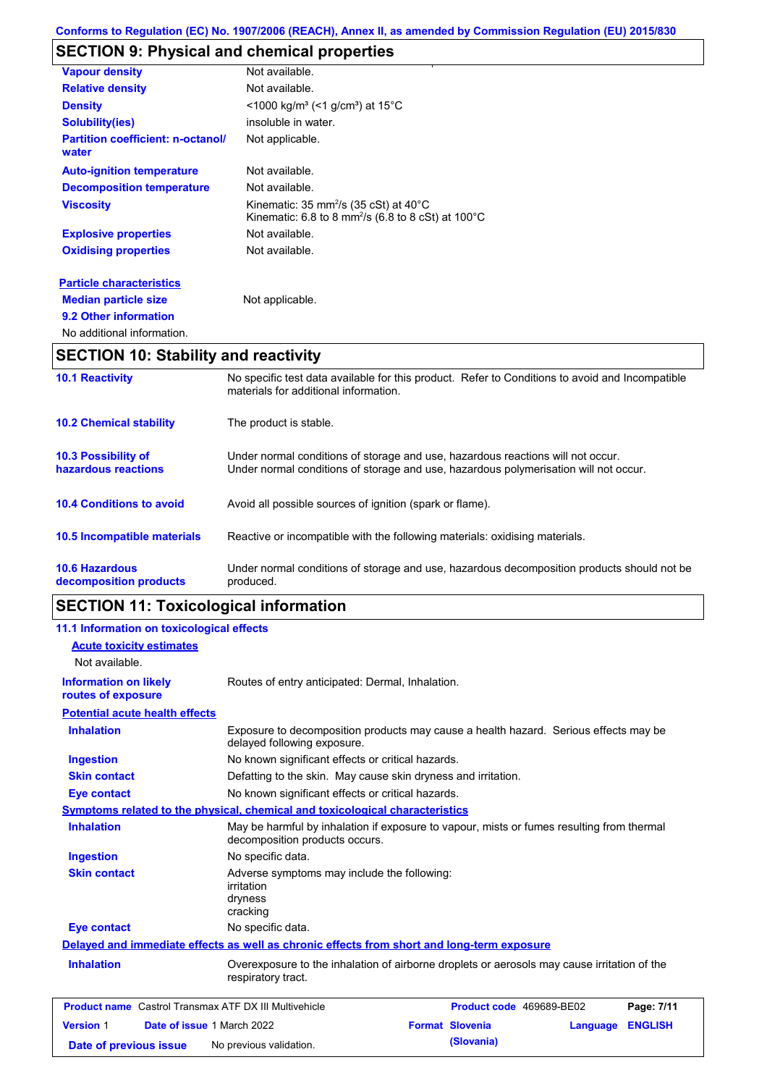# **SECTION 9: Physical and chemical properties**

| <b>Vapour density</b>                             | Not available.                                                                                                                           |
|---------------------------------------------------|------------------------------------------------------------------------------------------------------------------------------------------|
| <b>Relative density</b>                           | Not available.                                                                                                                           |
| <b>Density</b>                                    | <1000 kg/m <sup>3</sup> (<1 g/cm <sup>3</sup> ) at 15°C                                                                                  |
| <b>Solubility(ies)</b>                            | insoluble in water.                                                                                                                      |
| <b>Partition coefficient: n-octanol/</b><br>water | Not applicable.                                                                                                                          |
| <b>Auto-ignition temperature</b>                  | Not available.                                                                                                                           |
| <b>Decomposition temperature</b>                  | Not available.                                                                                                                           |
| <b>Viscosity</b>                                  | Kinematic: 35 mm <sup>2</sup> /s (35 cSt) at 40 $^{\circ}$ C<br>Kinematic: 6.8 to 8 mm <sup>2</sup> /s (6.8 to 8 cSt) at $100^{\circ}$ C |
| <b>Explosive properties</b>                       | Not available.                                                                                                                           |
| <b>Oxidising properties</b>                       | Not available.                                                                                                                           |
| <b>Particle characteristics</b>                   |                                                                                                                                          |
| <b>Median particle size</b>                       | Not applicable.                                                                                                                          |
| 9.2 Other information                             |                                                                                                                                          |
| No additional information.                        |                                                                                                                                          |

## **SECTION 10: Stability and reactivity**

| <b>10.1 Reactivity</b>                            | No specific test data available for this product. Refer to Conditions to avoid and Incompatible<br>materials for additional information.                                |
|---------------------------------------------------|-------------------------------------------------------------------------------------------------------------------------------------------------------------------------|
| <b>10.2 Chemical stability</b>                    | The product is stable.                                                                                                                                                  |
| <b>10.3 Possibility of</b><br>hazardous reactions | Under normal conditions of storage and use, hazardous reactions will not occur.<br>Under normal conditions of storage and use, hazardous polymerisation will not occur. |
| <b>10.4 Conditions to avoid</b>                   | Avoid all possible sources of ignition (spark or flame).                                                                                                                |
| 10.5 Incompatible materials                       | Reactive or incompatible with the following materials: oxidising materials.                                                                                             |
| <b>10.6 Hazardous</b><br>decomposition products   | Under normal conditions of storage and use, hazardous decomposition products should not be<br>produced.                                                                 |

# **SECTION 11: Toxicological information**

| 11.1 Information on toxicological effects                    |                                                                                                                             |                                    |                |
|--------------------------------------------------------------|-----------------------------------------------------------------------------------------------------------------------------|------------------------------------|----------------|
| <b>Acute toxicity estimates</b>                              |                                                                                                                             |                                    |                |
| Not available.                                               |                                                                                                                             |                                    |                |
| <b>Information on likely</b><br>routes of exposure           | Routes of entry anticipated: Dermal, Inhalation.                                                                            |                                    |                |
| <b>Potential acute health effects</b>                        |                                                                                                                             |                                    |                |
| <b>Inhalation</b>                                            | Exposure to decomposition products may cause a health hazard. Serious effects may be<br>delayed following exposure.         |                                    |                |
| <b>Ingestion</b>                                             | No known significant effects or critical hazards.                                                                           |                                    |                |
| <b>Skin contact</b>                                          | Defatting to the skin. May cause skin dryness and irritation.                                                               |                                    |                |
| <b>Eye contact</b>                                           | No known significant effects or critical hazards.                                                                           |                                    |                |
|                                                              | Symptoms related to the physical, chemical and toxicological characteristics                                                |                                    |                |
| <b>Inhalation</b>                                            | May be harmful by inhalation if exposure to vapour, mists or fumes resulting from thermal<br>decomposition products occurs. |                                    |                |
| <b>Ingestion</b>                                             | No specific data.                                                                                                           |                                    |                |
| <b>Skin contact</b>                                          | Adverse symptoms may include the following:<br>irritation<br>dryness<br>cracking                                            |                                    |                |
| <b>Eye contact</b>                                           | No specific data.                                                                                                           |                                    |                |
|                                                              | Delayed and immediate effects as well as chronic effects from short and long-term exposure                                  |                                    |                |
| <b>Inhalation</b>                                            | Overexposure to the inhalation of airborne droplets or aerosols may cause irritation of the<br>respiratory tract.           |                                    |                |
| <b>Product name</b> Castrol Transmax ATF DX III Multivehicle |                                                                                                                             | Product code 469689-BE02           | Page: 7/11     |
| <b>Version 1</b><br>Date of issue 1 March 2022               |                                                                                                                             | <b>Format Slovenia</b><br>Language | <b>ENGLISH</b> |
| Date of previous issue                                       | No previous validation.                                                                                                     | (Slovania)                         |                |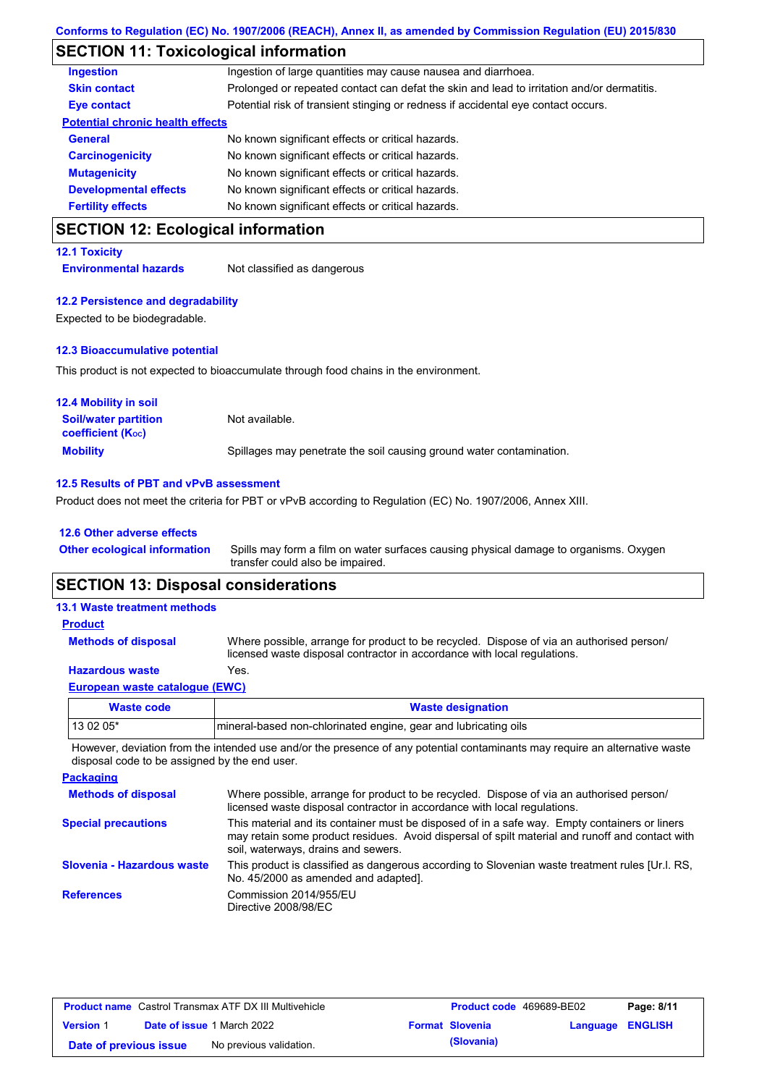## **SECTION 11: Toxicological information**

| <b>CECTION 12: Ecological information</b> |                                                                                            |
|-------------------------------------------|--------------------------------------------------------------------------------------------|
| <b>Fertility effects</b>                  | No known significant effects or critical hazards.                                          |
| <b>Developmental effects</b>              | No known significant effects or critical hazards.                                          |
| <b>Mutagenicity</b>                       | No known significant effects or critical hazards.                                          |
| <b>Carcinogenicity</b>                    | No known significant effects or critical hazards.                                          |
| <b>General</b>                            | No known significant effects or critical hazards.                                          |
| <b>Potential chronic health effects</b>   |                                                                                            |
| Eye contact                               | Potential risk of transient stinging or redness if accidental eye contact occurs.          |
| <b>Skin contact</b>                       | Prolonged or repeated contact can defat the skin and lead to irritation and/or dermatitis. |
| <b>Ingestion</b>                          | Ingestion of large quantities may cause nausea and diarrhoea.                              |

### **SECTION 12: Ecological information**

### **12.1 Toxicity**

**Environmental hazards** Not classified as dangerous

#### **12.2 Persistence and degradability**

Expected to be biodegradable.

#### **12.3 Bioaccumulative potential**

This product is not expected to bioaccumulate through food chains in the environment.

| <b>12.4 Mobility in soil</b>                            |                                                                      |
|---------------------------------------------------------|----------------------------------------------------------------------|
| <b>Soil/water partition</b><br><b>coefficient (Koc)</b> | Not available.                                                       |
| <b>Mobility</b>                                         | Spillages may penetrate the soil causing ground water contamination. |

#### **12.5 Results of PBT and vPvB assessment**

Product does not meet the criteria for PBT or vPvB according to Regulation (EC) No. 1907/2006, Annex XIII.

### **12.6 Other adverse effects**

**Other ecological information**

Spills may form a film on water surfaces causing physical damage to organisms. Oxygen transfer could also be impaired.

### **SECTION 13: Disposal considerations**

## **13.1 Waste treatment methods**

**Methods of disposal Product**

**Hazardous waste** Yes. Where possible, arrange for product to be recycled. Dispose of via an authorised person/ licensed waste disposal contractor in accordance with local regulations.

### **European waste catalogue (EWC)**

| Waste code | <b>Waste designation</b>                                        |
|------------|-----------------------------------------------------------------|
| $130205*$  | mineral-based non-chlorinated engine, gear and lubricating oils |

However, deviation from the intended use and/or the presence of any potential contaminants may require an alternative waste disposal code to be assigned by the end user.

| <b>Packaging</b>           |                                                                                                                                                                                                                                         |
|----------------------------|-----------------------------------------------------------------------------------------------------------------------------------------------------------------------------------------------------------------------------------------|
| <b>Methods of disposal</b> | Where possible, arrange for product to be recycled. Dispose of via an authorised person/<br>licensed waste disposal contractor in accordance with local regulations.                                                                    |
| <b>Special precautions</b> | This material and its container must be disposed of in a safe way. Empty containers or liners<br>may retain some product residues. Avoid dispersal of spilt material and runoff and contact with<br>soil, waterways, drains and sewers. |
| Slovenia - Hazardous waste | This product is classified as dangerous according to Slovenian waste treatment rules [Ur.l. RS.<br>No. 45/2000 as amended and adapted].                                                                                                 |
| <b>References</b>          | Commission 2014/955/EU<br>Directive 2008/98/EC                                                                                                                                                                                          |

| <b>Product name</b> Castrol Transmax ATF DX III Multivehicle |  | <b>Product code</b> 469689-BE02   |  | Page: 8/11             |                  |  |
|--------------------------------------------------------------|--|-----------------------------------|--|------------------------|------------------|--|
| <b>Version 1</b>                                             |  | <b>Date of issue 1 March 2022</b> |  | <b>Format Slovenia</b> | Language ENGLISH |  |
| Date of previous issue                                       |  | No previous validation.           |  | (Slovania)             |                  |  |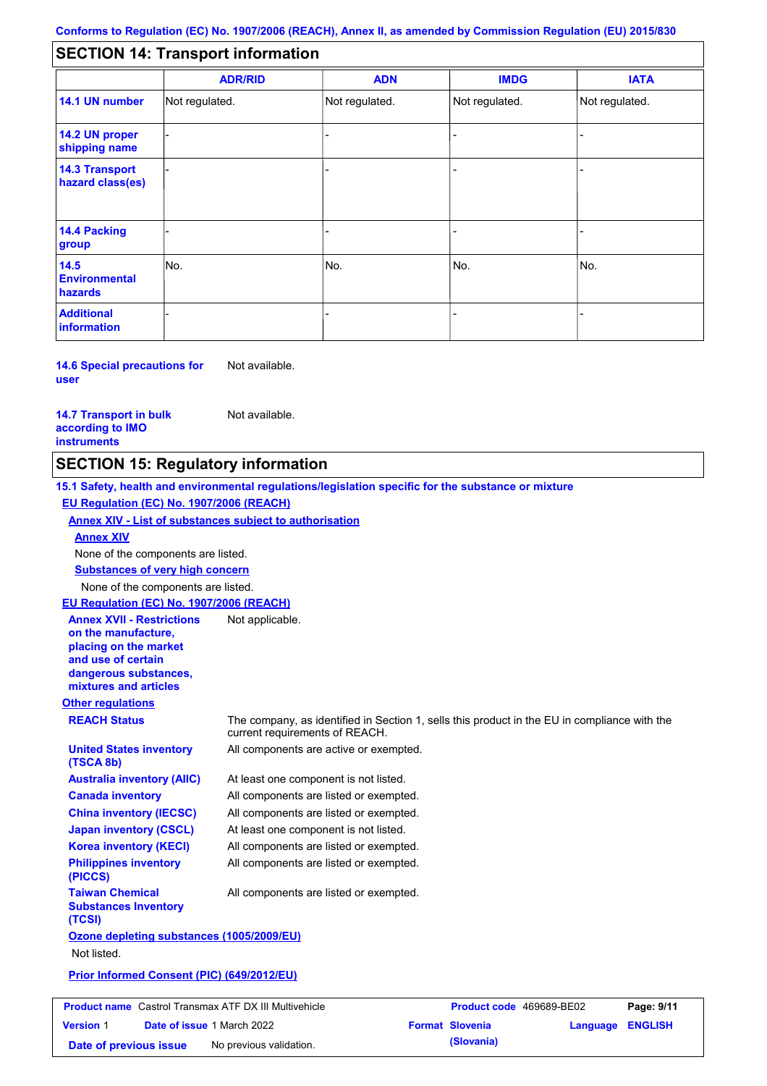#### - - - - - - - - - Not regulated. Not regulated. Not regulated. - - - **SECTION 14: Transport information ADR/RID IMDG IATA 14.1 UN number 14.2 UN proper shipping name 14.3 Transport hazard class(es) 14.4 Packing group ADN Additional information 14.5 Environmental hazards** No. 1980 | No. 1980 | No. 1980 | No. 1980 | No. 1980 | No. 1980 | No. 1980 | No. 1980 | No. 1980 | No. 1980 | Not regulated. - -<br>No. - -

**14.6 Special precautions for user** Not available.

#### **14.7 Transport in bulk according to IMO instruments**

Not available.

### **SECTION 15: Regulatory information**

**Other regulations REACH Status** The company, as identified in Section 1, sells this product in the EU in compliance with the current requirements of REACH. **15.1 Safety, health and environmental regulations/legislation specific for the substance or mixture EU Regulation (EC) No. 1907/2006 (REACH) Annex XIV - List of substances subject to authorisation Substances of very high concern** None of the components are listed. At least one component is not listed. All components are listed or exempted. All components are listed or exempted. At least one component is not listed. All components are active or exempted. All components are listed or exempted. All components are listed or exempted. **United States inventory (TSCA 8b) Australia inventory (AIIC) Canada inventory China inventory (IECSC) Japan inventory (CSCL) Korea inventory (KECI) Philippines inventory (PICCS) Taiwan Chemical Substances Inventory (TCSI)** All components are listed or exempted. **Ozone depleting substances (1005/2009/EU)** Not listed. **Prior Informed Consent (PIC) (649/2012/EU)** None of the components are listed. **Annex XIV EU Regulation (EC) No. 1907/2006 (REACH) Annex XVII - Restrictions on the manufacture, placing on the market and use of certain dangerous substances, mixtures and articles** Not applicable.

| <b>Product name</b> Castrol Transmax ATF DX III Multivehicle |  | <b>Product code</b> 469689-BE02   |  | Page: 9/11             |                  |  |
|--------------------------------------------------------------|--|-----------------------------------|--|------------------------|------------------|--|
| <b>Version 1</b>                                             |  | <b>Date of issue 1 March 2022</b> |  | <b>Format Slovenia</b> | Language ENGLISH |  |
| Date of previous issue                                       |  | No previous validation.           |  | (Slovania)             |                  |  |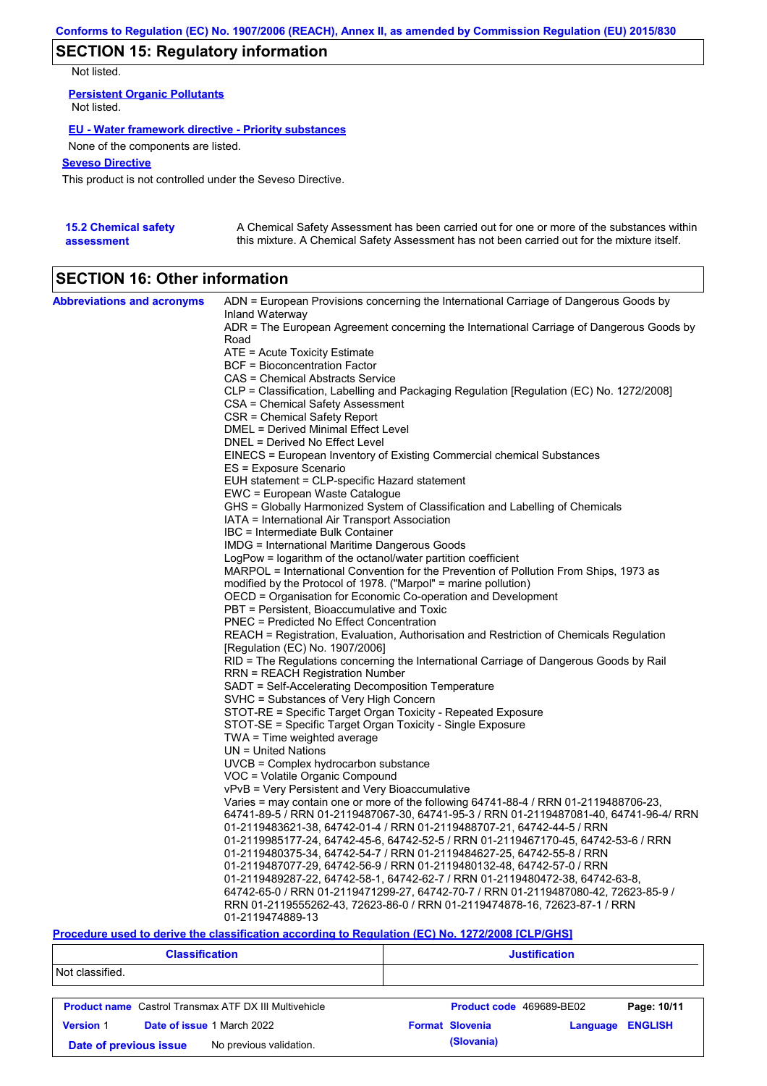## **SECTION 15: Regulatory information**

Not listed.

**Persistent Organic Pollutants** Not listed.

### **EU - Water framework directive - Priority substances**

None of the components are listed.

### **Seveso Directive**

This product is not controlled under the Seveso Directive.

| <b>15.2 Chemical safety</b> | A Chemical Safety Assessment has been carried out for one or more of the substances within  |
|-----------------------------|---------------------------------------------------------------------------------------------|
| assessment                  | this mixture. A Chemical Safety Assessment has not been carried out for the mixture itself. |

# **SECTION 16: Other information**

| <b>Abbreviations and acronyms</b> | ADN = European Provisions concerning the International Carriage of Dangerous Goods by                                           |
|-----------------------------------|---------------------------------------------------------------------------------------------------------------------------------|
|                                   | Inland Waterway<br>ADR = The European Agreement concerning the International Carriage of Dangerous Goods by                     |
|                                   | Road                                                                                                                            |
|                                   | ATE = Acute Toxicity Estimate                                                                                                   |
|                                   | BCF = Bioconcentration Factor                                                                                                   |
|                                   | CAS = Chemical Abstracts Service                                                                                                |
|                                   | CLP = Classification, Labelling and Packaging Regulation [Regulation (EC) No. 1272/2008]                                        |
|                                   | CSA = Chemical Safety Assessment                                                                                                |
|                                   | CSR = Chemical Safety Report                                                                                                    |
|                                   | DMEL = Derived Minimal Effect Level                                                                                             |
|                                   | DNEL = Derived No Effect Level                                                                                                  |
|                                   | EINECS = European Inventory of Existing Commercial chemical Substances                                                          |
|                                   | ES = Exposure Scenario                                                                                                          |
|                                   | EUH statement = CLP-specific Hazard statement                                                                                   |
|                                   | EWC = European Waste Catalogue                                                                                                  |
|                                   | GHS = Globally Harmonized System of Classification and Labelling of Chemicals<br>IATA = International Air Transport Association |
|                                   | IBC = Intermediate Bulk Container                                                                                               |
|                                   | IMDG = International Maritime Dangerous Goods                                                                                   |
|                                   | LogPow = logarithm of the octanol/water partition coefficient                                                                   |
|                                   | MARPOL = International Convention for the Prevention of Pollution From Ships, 1973 as                                           |
|                                   | modified by the Protocol of 1978. ("Marpol" = marine pollution)                                                                 |
|                                   | OECD = Organisation for Economic Co-operation and Development                                                                   |
|                                   | PBT = Persistent, Bioaccumulative and Toxic                                                                                     |
|                                   | <b>PNEC</b> = Predicted No Effect Concentration                                                                                 |
|                                   | REACH = Registration, Evaluation, Authorisation and Restriction of Chemicals Regulation                                         |
|                                   | [Regulation (EC) No. 1907/2006]                                                                                                 |
|                                   | RID = The Regulations concerning the International Carriage of Dangerous Goods by Rail                                          |
|                                   | <b>RRN = REACH Registration Number</b>                                                                                          |
|                                   | SADT = Self-Accelerating Decomposition Temperature                                                                              |
|                                   | SVHC = Substances of Very High Concern                                                                                          |
|                                   | STOT-RE = Specific Target Organ Toxicity - Repeated Exposure<br>STOT-SE = Specific Target Organ Toxicity - Single Exposure      |
|                                   | $TWA = Time$ weighted average                                                                                                   |
|                                   | $UN = United Nations$                                                                                                           |
|                                   | UVCB = Complex hydrocarbon substance                                                                                            |
|                                   | VOC = Volatile Organic Compound                                                                                                 |
|                                   | vPvB = Very Persistent and Very Bioaccumulative                                                                                 |
|                                   | Varies = may contain one or more of the following 64741-88-4 / RRN 01-2119488706-23,                                            |
|                                   | 64741-89-5 / RRN 01-2119487067-30, 64741-95-3 / RRN 01-2119487081-40, 64741-96-4/ RRN                                           |
|                                   | 01-2119483621-38, 64742-01-4 / RRN 01-2119488707-21, 64742-44-5 / RRN                                                           |
|                                   | 01-2119985177-24, 64742-45-6, 64742-52-5 / RRN 01-2119467170-45, 64742-53-6 / RRN                                               |
|                                   | 01-2119480375-34, 64742-54-7 / RRN 01-2119484627-25, 64742-55-8 / RRN                                                           |
|                                   | 01-2119487077-29, 64742-56-9 / RRN 01-2119480132-48, 64742-57-0 / RRN                                                           |
|                                   | 01-2119489287-22, 64742-58-1, 64742-62-7 / RRN 01-2119480472-38, 64742-63-8,                                                    |
|                                   | 64742-65-0 / RRN 01-2119471299-27, 64742-70-7 / RRN 01-2119487080-42, 72623-85-9 /                                              |
|                                   | RRN 01-2119555262-43, 72623-86-0 / RRN 01-2119474878-16, 72623-87-1 / RRN                                                       |
|                                   | 01-2119474889-13                                                                                                                |

### **Procedure used to derive the classification according to Regulation (EC) No. 1272/2008 [CLP/GHS]**

|                                                       | <b>Classification</b>                                        | <b>Justification</b> |                          |          |                |
|-------------------------------------------------------|--------------------------------------------------------------|----------------------|--------------------------|----------|----------------|
| Not classified.                                       |                                                              |                      |                          |          |                |
|                                                       | <b>Product name</b> Castrol Transmax ATF DX III Multivehicle |                      | Product code 469689-BE02 |          | Page: 10/11    |
| <b>Version 1</b><br><b>Date of issue 1 March 2022</b> |                                                              |                      | <b>Format Slovenia</b>   | Language | <b>ENGLISH</b> |
| Date of previous issue                                | No previous validation.                                      |                      | (Slovania)               |          |                |